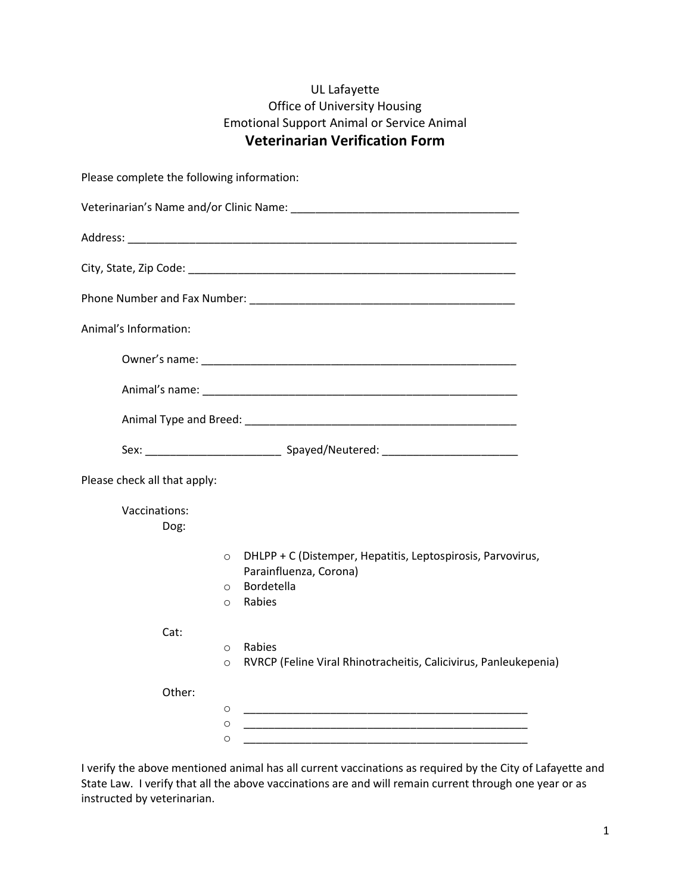## UL Lafayette Office of University Housing Emotional Support Animal or Service Animal Veterinarian Verification Form

| Please complete the following information: |                               |                                                                                                                      |
|--------------------------------------------|-------------------------------|----------------------------------------------------------------------------------------------------------------------|
|                                            |                               |                                                                                                                      |
|                                            |                               |                                                                                                                      |
|                                            |                               |                                                                                                                      |
|                                            |                               |                                                                                                                      |
| Animal's Information:                      |                               |                                                                                                                      |
|                                            |                               |                                                                                                                      |
|                                            |                               |                                                                                                                      |
|                                            |                               |                                                                                                                      |
|                                            |                               |                                                                                                                      |
| Please check all that apply:               |                               |                                                                                                                      |
| Vaccinations:<br>Dog:                      |                               |                                                                                                                      |
|                                            | $\circ$<br>$\circ$<br>$\circ$ | DHLPP + C (Distemper, Hepatitis, Leptospirosis, Parvovirus,<br>Parainfluenza, Corona)<br>Bordetella<br>Rabies        |
| Cat:                                       | $\circ$<br>$\circ$            | Rabies<br>RVRCP (Feline Viral Rhinotracheitis, Calicivirus, Panleukepenia)                                           |
| Other:                                     | $\circ$<br>O<br>O             | <u> 1990 - Johann John Harry, mars and de British and de British and de British and de British and de British an</u> |

I verify the above mentioned animal has all current vaccinations as required by the City of Lafayette and State Law. I verify that all the above vaccinations are and will remain current through one year or as instructed by veterinarian.